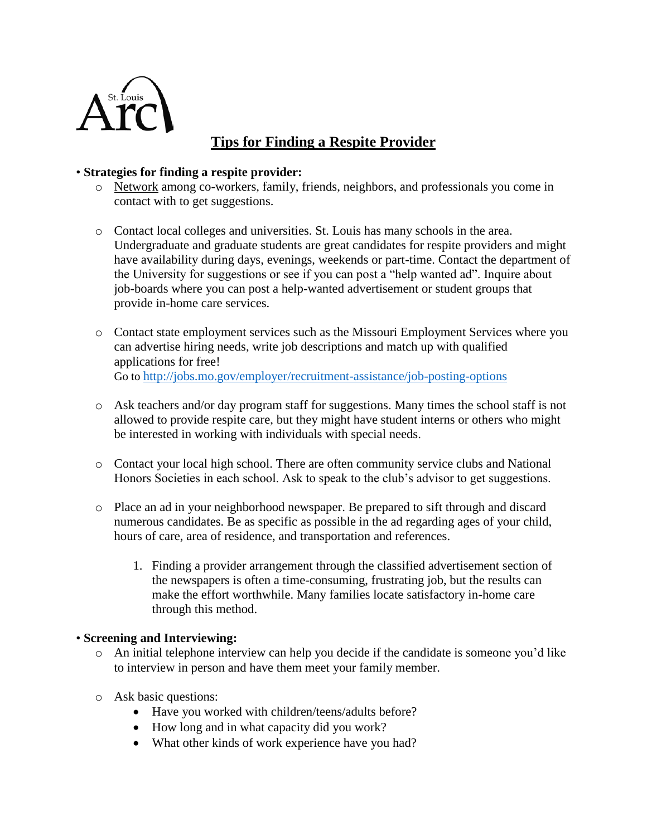

# **Tips for Finding a Respite Provider**

## • **Strategies for finding a respite provider:**

- o Network among co-workers, family, friends, neighbors, and professionals you come in contact with to get suggestions.
- o Contact local colleges and universities. St. Louis has many schools in the area. Undergraduate and graduate students are great candidates for respite providers and might have availability during days, evenings, weekends or part-time. Contact the department of the University for suggestions or see if you can post a "help wanted ad". Inquire about job-boards where you can post a help-wanted advertisement or student groups that provide in-home care services.
- o Contact state employment services such as the Missouri Employment Services where you can advertise hiring needs, write job descriptions and match up with qualified applications for free! Go to <http://jobs.mo.gov/employer/recruitment-assistance/job-posting-options>
- o Ask teachers and/or day program staff for suggestions. Many times the school staff is not allowed to provide respite care, but they might have student interns or others who might be interested in working with individuals with special needs.
- o Contact your local high school. There are often community service clubs and National Honors Societies in each school. Ask to speak to the club's advisor to get suggestions.
- o Place an ad in your neighborhood newspaper. Be prepared to sift through and discard numerous candidates. Be as specific as possible in the ad regarding ages of your child, hours of care, area of residence, and transportation and references.
	- 1. Finding a provider arrangement through the classified advertisement section of the newspapers is often a time-consuming, frustrating job, but the results can make the effort worthwhile. Many families locate satisfactory in-home care through this method.

#### • **Screening and Interviewing:**

- o An initial telephone interview can help you decide if the candidate is someone you'd like to interview in person and have them meet your family member.
- o Ask basic questions:
	- Have you worked with children/teens/adults before?
	- How long and in what capacity did you work?
	- What other kinds of work experience have you had?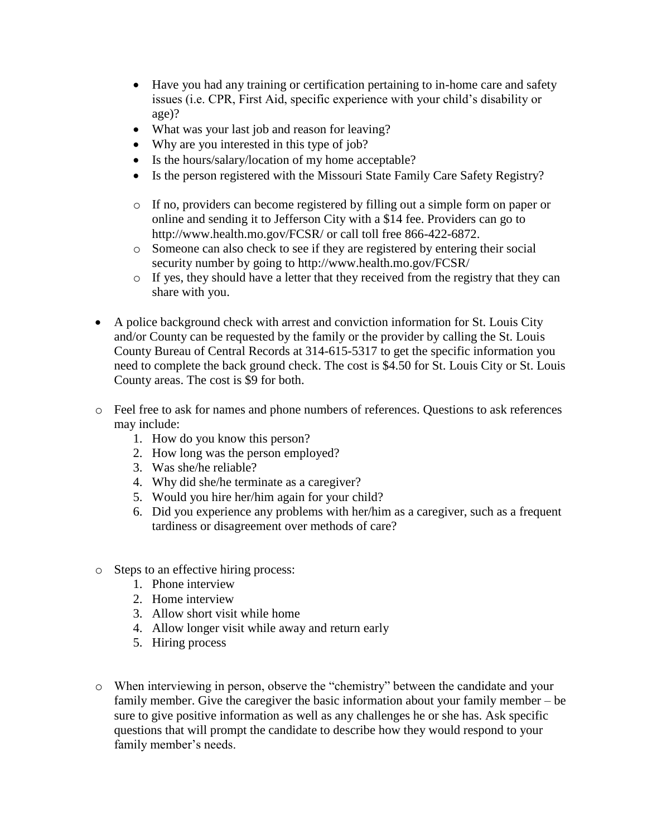- Have you had any training or certification pertaining to in-home care and safety issues (i.e. CPR, First Aid, specific experience with your child's disability or age)?
- What was your last job and reason for leaving?
- Why are you interested in this type of job?
- Is the hours/salary/location of my home acceptable?
- Is the person registered with the Missouri State Family Care Safety Registry?
- o If no, providers can become registered by filling out a simple form on paper or online and sending it to Jefferson City with a \$14 fee. Providers can go to http://www.health.mo.gov/FCSR/ or call toll free 866-422-6872.
- o Someone can also check to see if they are registered by entering their social security number by going to http://www.health.mo.gov/FCSR/
- o If yes, they should have a letter that they received from the registry that they can share with you.
- A police background check with arrest and conviction information for St. Louis City and/or County can be requested by the family or the provider by calling the St. Louis County Bureau of Central Records at 314-615-5317 to get the specific information you need to complete the back ground check. The cost is \$4.50 for St. Louis City or St. Louis County areas. The cost is \$9 for both.
- o Feel free to ask for names and phone numbers of references. Questions to ask references may include:
	- 1. How do you know this person?
	- 2. How long was the person employed?
	- 3. Was she/he reliable?
	- 4. Why did she/he terminate as a caregiver?
	- 5. Would you hire her/him again for your child?
	- 6. Did you experience any problems with her/him as a caregiver, such as a frequent tardiness or disagreement over methods of care?
- o Steps to an effective hiring process:
	- 1. Phone interview
	- 2. Home interview
	- 3. Allow short visit while home
	- 4. Allow longer visit while away and return early
	- 5. Hiring process
- o When interviewing in person, observe the "chemistry" between the candidate and your family member. Give the caregiver the basic information about your family member – be sure to give positive information as well as any challenges he or she has. Ask specific questions that will prompt the candidate to describe how they would respond to your family member's needs.